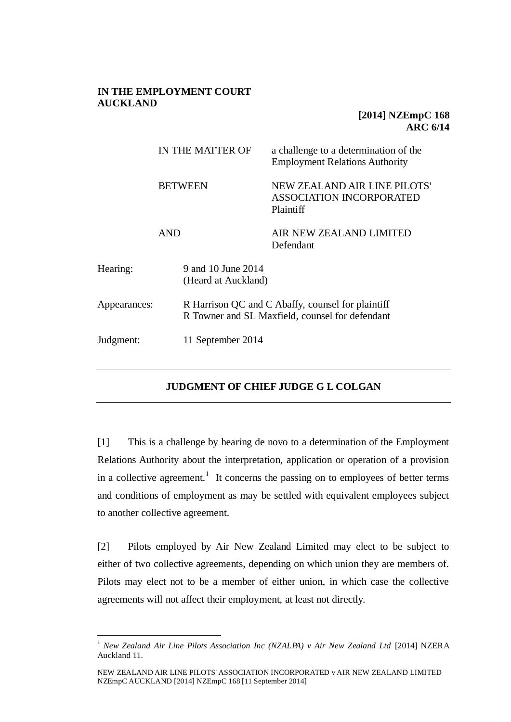## **IN THE EMPLOYMENT COURT AUCKLAND**

## **[2014] NZEmpC 168 ARC 6/14**

|              | IN THE MATTER OF                          | a challenge to a determination of the<br><b>Employment Relations Authority</b>                       |  |
|--------------|-------------------------------------------|------------------------------------------------------------------------------------------------------|--|
|              | <b>BETWEEN</b>                            | NEW ZEALAND AIR LINE PILOTS'<br><b>ASSOCIATION INCORPORATED</b><br>Plaintiff                         |  |
|              | <b>AND</b>                                | AIR NEW ZEALAND LIMITED<br>Defendant                                                                 |  |
| Hearing:     | 9 and 10 June 2014<br>(Heard at Auckland) |                                                                                                      |  |
| Appearances: |                                           | R Harrison QC and C Abaffy, counsel for plaintiff<br>R Towner and SL Maxfield, counsel for defendant |  |
| Judgment:    |                                           | 11 September 2014                                                                                    |  |

# **JUDGMENT OF CHIEF JUDGE G L COLGAN**

[1] This is a challenge by hearing de novo to a determination of the Employment Relations Authority about the interpretation, application or operation of a provision in a collective agreement.<sup>1</sup> It concerns the passing on to employees of better terms and conditions of employment as may be settled with equivalent employees subject to another collective agreement.

[2] Pilots employed by Air New Zealand Limited may elect to be subject to either of two collective agreements, depending on which union they are members of. Pilots may elect not to be a member of either union, in which case the collective agreements will not affect their employment, at least not directly.

<sup>&</sup>lt;sup>1</sup> New Zealand Air Line Pilots Association Inc (NZALPA) v Air New Zealand Ltd <sup>[2014]</sup> NZERA Auckland 11.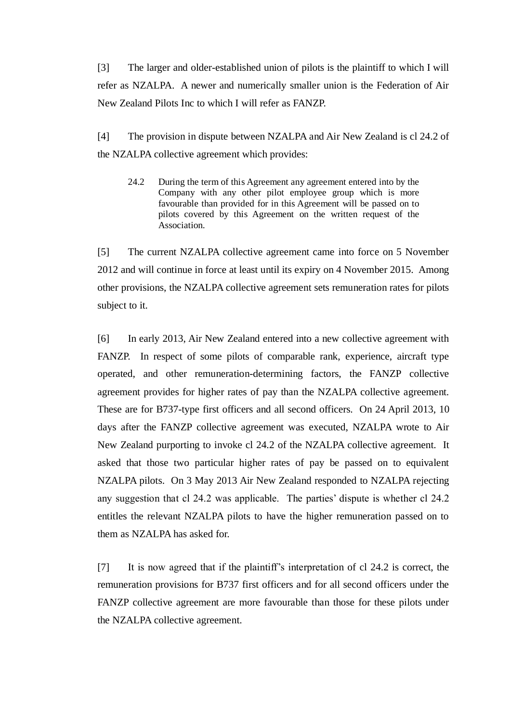[3] The larger and older-established union of pilots is the plaintiff to which I will refer as NZALPA. A newer and numerically smaller union is the Federation of Air New Zealand Pilots Inc to which I will refer as FANZP.

[4] The provision in dispute between NZALPA and Air New Zealand is cl 24.2 of the NZALPA collective agreement which provides:

24.2 During the term of this Agreement any agreement entered into by the Company with any other pilot employee group which is more favourable than provided for in this Agreement will be passed on to pilots covered by this Agreement on the written request of the Association.

[5] The current NZALPA collective agreement came into force on 5 November 2012 and will continue in force at least until its expiry on 4 November 2015. Among other provisions, the NZALPA collective agreement sets remuneration rates for pilots subject to it.

[6] In early 2013, Air New Zealand entered into a new collective agreement with FANZP. In respect of some pilots of comparable rank, experience, aircraft type operated, and other remuneration-determining factors, the FANZP collective agreement provides for higher rates of pay than the NZALPA collective agreement. These are for B737-type first officers and all second officers. On 24 April 2013, 10 days after the FANZP collective agreement was executed, NZALPA wrote to Air New Zealand purporting to invoke cl 24.2 of the NZALPA collective agreement. It asked that those two particular higher rates of pay be passed on to equivalent NZALPA pilots. On 3 May 2013 Air New Zealand responded to NZALPA rejecting any suggestion that cl 24.2 was applicable. The parties' dispute is whether cl 24.2 entitles the relevant NZALPA pilots to have the higher remuneration passed on to them as NZALPA has asked for.

[7] It is now agreed that if the plaintiff's interpretation of cl 24.2 is correct, the remuneration provisions for B737 first officers and for all second officers under the FANZP collective agreement are more favourable than those for these pilots under the NZALPA collective agreement.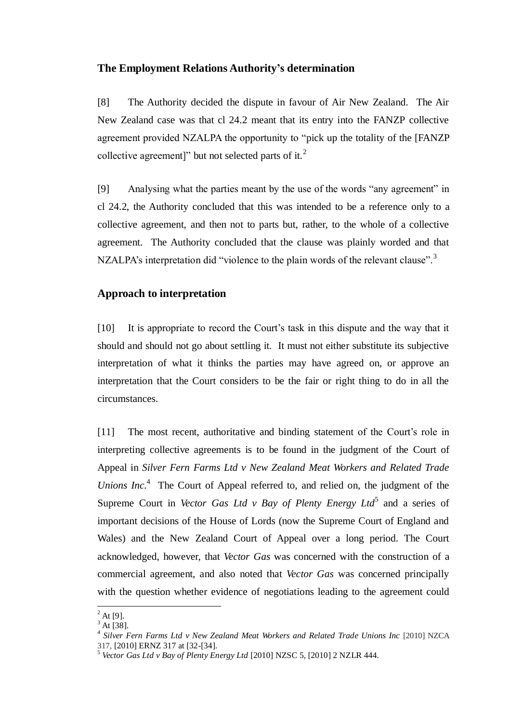### **The Employment Relations Authority's determination**

[8] The Authority decided the dispute in favour of Air New Zealand. The Air New Zealand case was that cl 24.2 meant that its entry into the FANZP collective agreement provided NZALPA the opportunity to "pick up the totality of the [FANZP collective agreement]" but not selected parts of it. $2$ 

[9] Analysing what the parties meant by the use of the words "any agreement" in cl 24.2, the Authority concluded that this was intended to be a reference only to a collective agreement, and then not to parts but, rather, to the whole of a collective agreement. The Authority concluded that the clause was plainly worded and that NZALPA's interpretation did "violence to the plain words of the relevant clause".<sup>3</sup>

## **Approach to interpretation**

[10] It is appropriate to record the Court's task in this dispute and the way that it should and should not go about settling it. It must not either substitute its subjective interpretation of what it thinks the parties may have agreed on, or approve an interpretation that the Court considers to be the fair or right thing to do in all the circumstances.

[11] The most recent, authoritative and binding statement of the Court's role in interpreting collective agreements is to be found in the judgment of the Court of Appeal in *Silver Fern Farms Ltd v New Zealand Meat Workers and Related Trade Unions Inc.*<sup>4</sup> The Court of Appeal referred to, and relied on, the judgment of the Supreme Court in *Vector Gas Ltd v Bay of Plenty Energy Ltd*<sup>5</sup> and a series of important decisions of the House of Lords (now the Supreme Court of England and Wales) and the New Zealand Court of Appeal over a long period. The Court acknowledged, however, that *Vector Gas* was concerned with the construction of a commercial agreement, and also noted that *Vector Gas* was concerned principally with the question whether evidence of negotiations leading to the agreement could

 $^{2}$  At [9].

 $3$  At [38].

<sup>&</sup>lt;sup>4</sup> Silver Fern Farms Ltd v New Zealand Meat Workers and Related Trade Unions Inc [2010] NZCA 317, [2010] ERNZ 317 at [32-[34].

<sup>5</sup> *Vector Gas Ltd v Bay of Plenty Energy Ltd* [2010] NZSC 5, [2010] 2 NZLR 444.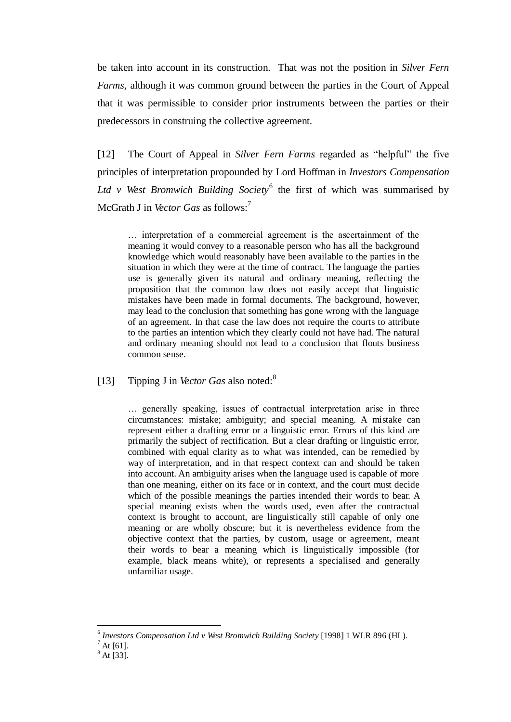be taken into account in its construction. That was not the position in *Silver Fern Farms,* although it was common ground between the parties in the Court of Appeal that it was permissible to consider prior instruments between the parties or their predecessors in construing the collective agreement.

[12] The Court of Appeal in *Silver Fern Farms* regarded as "helpful" the five principles of interpretation propounded by Lord Hoffman in *Investors Compensation*  Ltd v West Bromwich Building Society<sup>6</sup> the first of which was summarised by McGrath J in *Vector Gas* as follows:<sup>7</sup>

… interpretation of a commercial agreement is the ascertainment of the meaning it would convey to a reasonable person who has all the background knowledge which would reasonably have been available to the parties in the situation in which they were at the time of contract. The language the parties use is generally given its natural and ordinary meaning, reflecting the proposition that the common law does not easily accept that linguistic mistakes have been made in formal documents. The background, however, may lead to the conclusion that something has gone wrong with the language of an agreement. In that case the law does not require the courts to attribute to the parties an intention which they clearly could not have had. The natural and ordinary meaning should not lead to a conclusion that flouts business common sense.

[13] Tipping J in *Vector Gas* also noted:<sup>8</sup>

… generally speaking, issues of contractual interpretation arise in three circumstances: mistake; ambiguity; and special meaning. A mistake can represent either a drafting error or a linguistic error. Errors of this kind are primarily the subject of rectification. But a clear drafting or linguistic error, combined with equal clarity as to what was intended, can be remedied by way of interpretation, and in that respect context can and should be taken into account. An ambiguity arises when the language used is capable of more than one meaning, either on its face or in context, and the court must decide which of the possible meanings the parties intended their words to bear. A special meaning exists when the words used, even after the contractual context is brought to account, are linguistically still capable of only one meaning or are wholly obscure; but it is nevertheless evidence from the objective context that the parties, by custom, usage or agreement, meant their words to bear a meaning which is linguistically impossible (for example, black means white), or represents a specialised and generally unfamiliar usage.

<sup>&</sup>lt;sup>6</sup> Investors Compensation Ltd v West Bromwich Building Society [1998] 1 WLR 896 (HL).

 $^7$  At [61].

 $^8$  At [33].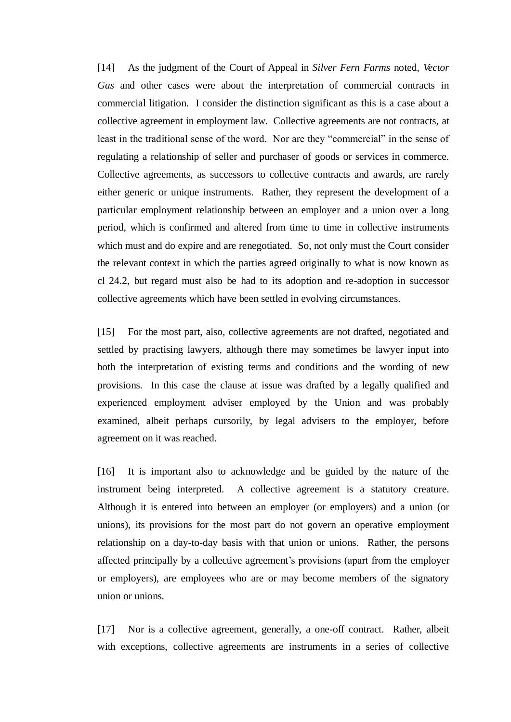[14] As the judgment of the Court of Appeal in *Silver Fern Farms* noted, *Vector Gas* and other cases were about the interpretation of commercial contracts in commercial litigation. I consider the distinction significant as this is a case about a collective agreement in employment law. Collective agreements are not contracts, at least in the traditional sense of the word. Nor are they "commercial" in the sense of regulating a relationship of seller and purchaser of goods or services in commerce. Collective agreements, as successors to collective contracts and awards, are rarely either generic or unique instruments. Rather, they represent the development of a particular employment relationship between an employer and a union over a long period, which is confirmed and altered from time to time in collective instruments which must and do expire and are renegotiated. So, not only must the Court consider the relevant context in which the parties agreed originally to what is now known as cl 24.2, but regard must also be had to its adoption and re-adoption in successor collective agreements which have been settled in evolving circumstances.

[15] For the most part, also, collective agreements are not drafted, negotiated and settled by practising lawyers, although there may sometimes be lawyer input into both the interpretation of existing terms and conditions and the wording of new provisions. In this case the clause at issue was drafted by a legally qualified and experienced employment adviser employed by the Union and was probably examined, albeit perhaps cursorily, by legal advisers to the employer, before agreement on it was reached.

[16] It is important also to acknowledge and be guided by the nature of the instrument being interpreted. A collective agreement is a statutory creature. Although it is entered into between an employer (or employers) and a union (or unions), its provisions for the most part do not govern an operative employment relationship on a day-to-day basis with that union or unions. Rather, the persons affected principally by a collective agreement's provisions (apart from the employer or employers), are employees who are or may become members of the signatory union or unions.

[17] Nor is a collective agreement, generally, a one-off contract. Rather, albeit with exceptions, collective agreements are instruments in a series of collective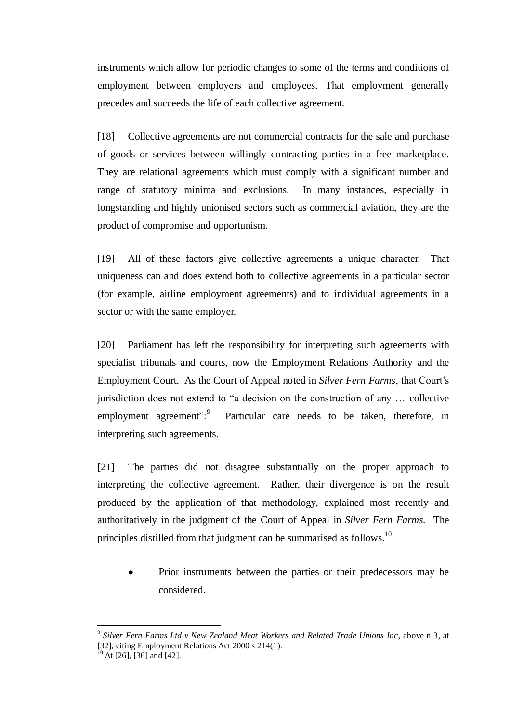instruments which allow for periodic changes to some of the terms and conditions of employment between employers and employees. That employment generally precedes and succeeds the life of each collective agreement.

[18] Collective agreements are not commercial contracts for the sale and purchase of goods or services between willingly contracting parties in a free marketplace. They are relational agreements which must comply with a significant number and range of statutory minima and exclusions. In many instances, especially in longstanding and highly unionised sectors such as commercial aviation, they are the product of compromise and opportunism.

[19] All of these factors give collective agreements a unique character. That uniqueness can and does extend both to collective agreements in a particular sector (for example, airline employment agreements) and to individual agreements in a sector or with the same employer.

[20] Parliament has left the responsibility for interpreting such agreements with specialist tribunals and courts, now the Employment Relations Authority and the Employment Court. As the Court of Appeal noted in *Silver Fern Farms*, that Court's jurisdiction does not extend to "a decision on the construction of any … collective employment agreement":<sup>9</sup> Particular care needs to be taken, therefore, in interpreting such agreements.

[21] The parties did not disagree substantially on the proper approach to interpreting the collective agreement. Rather, their divergence is on the result produced by the application of that methodology, explained most recently and authoritatively in the judgment of the Court of Appeal in *Silver Fern Farms.* The principles distilled from that judgment can be summarised as follows.<sup>10</sup>

Prior instruments between the parties or their predecessors may be  $\bullet$ considered.

<sup>9</sup> *Silver Fern Farms Ltd v New Zealand Meat Workers and Related Trade Unions Inc*, above n 3, at  $\frac{1}{22}$ , citing Employment Relations Act 2000 s 214(1).

At [26], [36] and [42].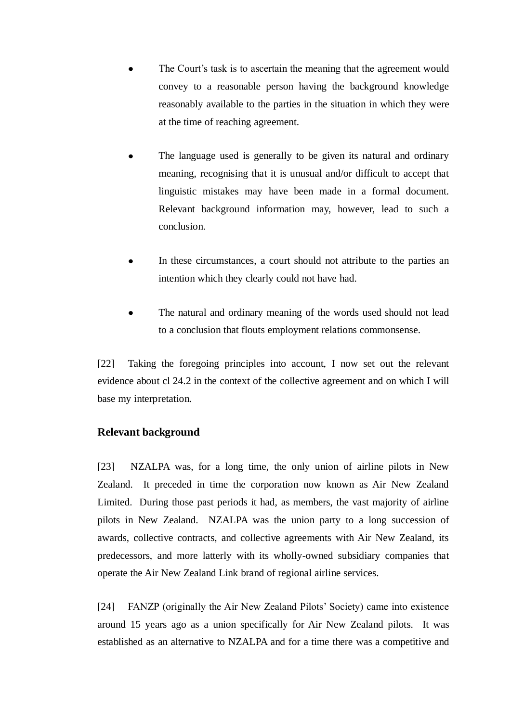- The Court's task is to ascertain the meaning that the agreement would convey to a reasonable person having the background knowledge reasonably available to the parties in the situation in which they were at the time of reaching agreement.
- The language used is generally to be given its natural and ordinary meaning, recognising that it is unusual and/or difficult to accept that linguistic mistakes may have been made in a formal document. Relevant background information may, however, lead to such a conclusion.
- In these circumstances, a court should not attribute to the parties an intention which they clearly could not have had.
- The natural and ordinary meaning of the words used should not lead to a conclusion that flouts employment relations commonsense.

[22] Taking the foregoing principles into account, I now set out the relevant evidence about cl 24.2 in the context of the collective agreement and on which I will base my interpretation.

# **Relevant background**

[23] NZALPA was, for a long time, the only union of airline pilots in New Zealand. It preceded in time the corporation now known as Air New Zealand Limited. During those past periods it had, as members, the vast majority of airline pilots in New Zealand. NZALPA was the union party to a long succession of awards, collective contracts, and collective agreements with Air New Zealand, its predecessors, and more latterly with its wholly-owned subsidiary companies that operate the Air New Zealand Link brand of regional airline services.

[24] FANZP (originally the Air New Zealand Pilots' Society) came into existence around 15 years ago as a union specifically for Air New Zealand pilots. It was established as an alternative to NZALPA and for a time there was a competitive and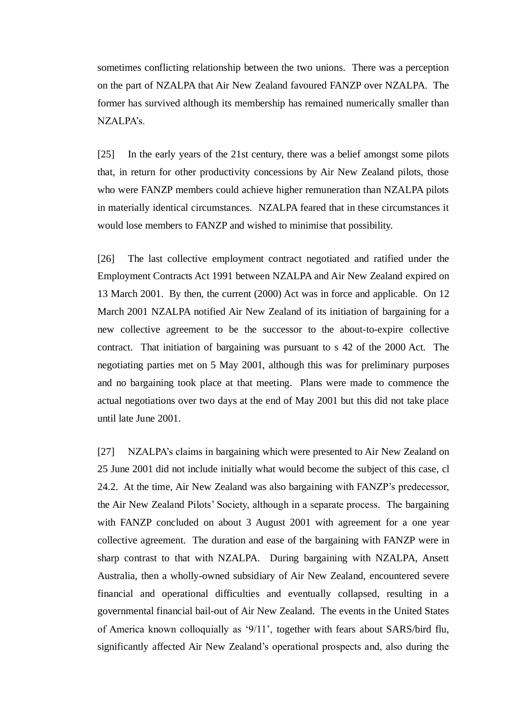sometimes conflicting relationship between the two unions. There was a perception on the part of NZALPA that Air New Zealand favoured FANZP over NZALPA. The former has survived although its membership has remained numerically smaller than NZALPA's.

[25] In the early years of the 21st century, there was a belief amongst some pilots that, in return for other productivity concessions by Air New Zealand pilots, those who were FANZP members could achieve higher remuneration than NZALPA pilots in materially identical circumstances. NZALPA feared that in these circumstances it would lose members to FANZP and wished to minimise that possibility.

[26] The last collective employment contract negotiated and ratified under the Employment Contracts Act 1991 between NZALPA and Air New Zealand expired on 13 March 2001. By then, the current (2000) Act was in force and applicable. On 12 March 2001 NZALPA notified Air New Zealand of its initiation of bargaining for a new collective agreement to be the successor to the about-to-expire collective contract. That initiation of bargaining was pursuant to s 42 of the 2000 Act. The negotiating parties met on 5 May 2001, although this was for preliminary purposes and no bargaining took place at that meeting. Plans were made to commence the actual negotiations over two days at the end of May 2001 but this did not take place until late June 2001.

[27] NZALPA's claims in bargaining which were presented to Air New Zealand on 25 June 2001 did not include initially what would become the subject of this case, cl 24.2. At the time, Air New Zealand was also bargaining with FANZP's predecessor, the Air New Zealand Pilots' Society, although in a separate process. The bargaining with FANZP concluded on about 3 August 2001 with agreement for a one year collective agreement. The duration and ease of the bargaining with FANZP were in sharp contrast to that with NZALPA. During bargaining with NZALPA, Ansett Australia, then a wholly-owned subsidiary of Air New Zealand, encountered severe financial and operational difficulties and eventually collapsed, resulting in a governmental financial bail-out of Air New Zealand. The events in the United States of America known colloquially as '9/11', together with fears about SARS/bird flu, significantly affected Air New Zealand's operational prospects and, also during the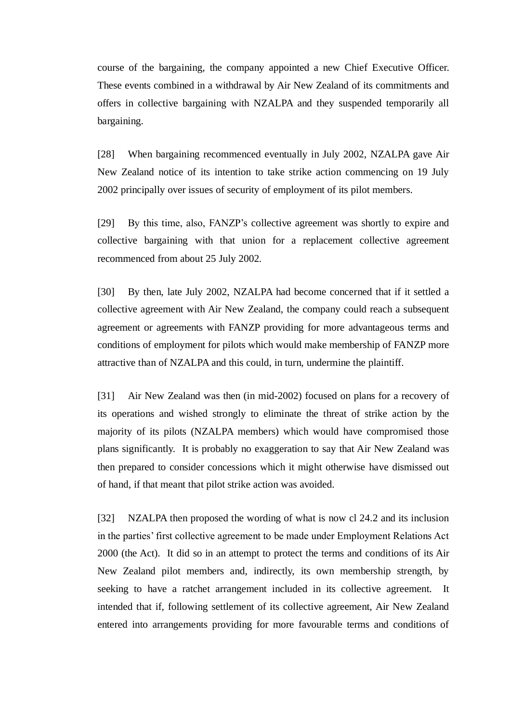course of the bargaining, the company appointed a new Chief Executive Officer. These events combined in a withdrawal by Air New Zealand of its commitments and offers in collective bargaining with NZALPA and they suspended temporarily all bargaining.

[28] When bargaining recommenced eventually in July 2002, NZALPA gave Air New Zealand notice of its intention to take strike action commencing on 19 July 2002 principally over issues of security of employment of its pilot members.

[29] By this time, also, FANZP's collective agreement was shortly to expire and collective bargaining with that union for a replacement collective agreement recommenced from about 25 July 2002.

[30] By then, late July 2002, NZALPA had become concerned that if it settled a collective agreement with Air New Zealand, the company could reach a subsequent agreement or agreements with FANZP providing for more advantageous terms and conditions of employment for pilots which would make membership of FANZP more attractive than of NZALPA and this could, in turn, undermine the plaintiff.

[31] Air New Zealand was then (in mid-2002) focused on plans for a recovery of its operations and wished strongly to eliminate the threat of strike action by the majority of its pilots (NZALPA members) which would have compromised those plans significantly. It is probably no exaggeration to say that Air New Zealand was then prepared to consider concessions which it might otherwise have dismissed out of hand, if that meant that pilot strike action was avoided.

[32] NZALPA then proposed the wording of what is now cl 24.2 and its inclusion in the parties' first collective agreement to be made under Employment Relations Act 2000 (the Act). It did so in an attempt to protect the terms and conditions of its Air New Zealand pilot members and, indirectly, its own membership strength, by seeking to have a ratchet arrangement included in its collective agreement. It intended that if, following settlement of its collective agreement, Air New Zealand entered into arrangements providing for more favourable terms and conditions of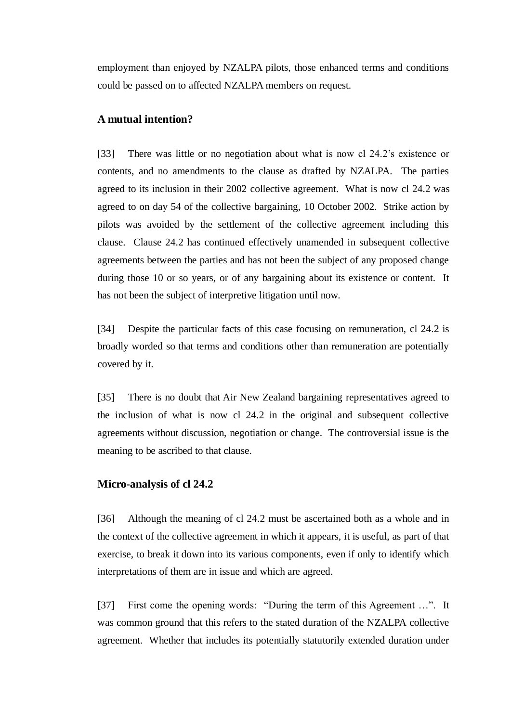employment than enjoyed by NZALPA pilots, those enhanced terms and conditions could be passed on to affected NZALPA members on request.

## **A mutual intention?**

[33] There was little or no negotiation about what is now cl 24.2's existence or contents, and no amendments to the clause as drafted by NZALPA. The parties agreed to its inclusion in their 2002 collective agreement. What is now cl 24.2 was agreed to on day 54 of the collective bargaining, 10 October 2002. Strike action by pilots was avoided by the settlement of the collective agreement including this clause. Clause 24.2 has continued effectively unamended in subsequent collective agreements between the parties and has not been the subject of any proposed change during those 10 or so years, or of any bargaining about its existence or content. It has not been the subject of interpretive litigation until now.

[34] Despite the particular facts of this case focusing on remuneration, cl 24.2 is broadly worded so that terms and conditions other than remuneration are potentially covered by it.

[35] There is no doubt that Air New Zealand bargaining representatives agreed to the inclusion of what is now cl 24.2 in the original and subsequent collective agreements without discussion, negotiation or change. The controversial issue is the meaning to be ascribed to that clause.

#### **Micro-analysis of cl 24.2**

[36] Although the meaning of cl 24.2 must be ascertained both as a whole and in the context of the collective agreement in which it appears, it is useful, as part of that exercise, to break it down into its various components, even if only to identify which interpretations of them are in issue and which are agreed.

[37] First come the opening words: "During the term of this Agreement ...". It was common ground that this refers to the stated duration of the NZALPA collective agreement. Whether that includes its potentially statutorily extended duration under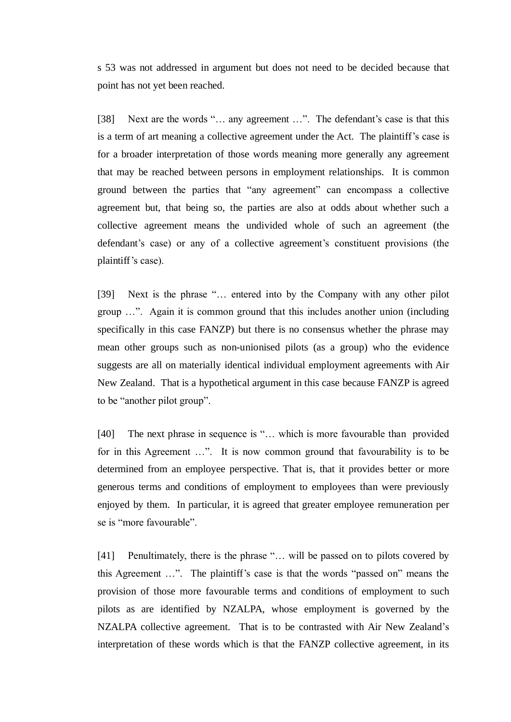s 53 was not addressed in argument but does not need to be decided because that point has not yet been reached.

[38] Next are the words "... any agreement ...". The defendant's case is that this is a term of art meaning a collective agreement under the Act. The plaintiff's case is for a broader interpretation of those words meaning more generally any agreement that may be reached between persons in employment relationships. It is common ground between the parties that "any agreement" can encompass a collective agreement but, that being so, the parties are also at odds about whether such a collective agreement means the undivided whole of such an agreement (the defendant's case) or any of a collective agreement's constituent provisions (the plaintiff's case).

[39] Next is the phrase "… entered into by the Company with any other pilot group …". Again it is common ground that this includes another union (including specifically in this case FANZP) but there is no consensus whether the phrase may mean other groups such as non-unionised pilots (as a group) who the evidence suggests are all on materially identical individual employment agreements with Air New Zealand. That is a hypothetical argument in this case because FANZP is agreed to be "another pilot group".

[40] The next phrase in sequence is "... which is more favourable than provided for in this Agreement …". It is now common ground that favourability is to be determined from an employee perspective. That is, that it provides better or more generous terms and conditions of employment to employees than were previously enjoyed by them. In particular, it is agreed that greater employee remuneration per se is "more favourable".

[41] Penultimately, there is the phrase "... will be passed on to pilots covered by this Agreement …". The plaintiff's case is that the words "passed on" means the provision of those more favourable terms and conditions of employment to such pilots as are identified by NZALPA, whose employment is governed by the NZALPA collective agreement. That is to be contrasted with Air New Zealand's interpretation of these words which is that the FANZP collective agreement, in its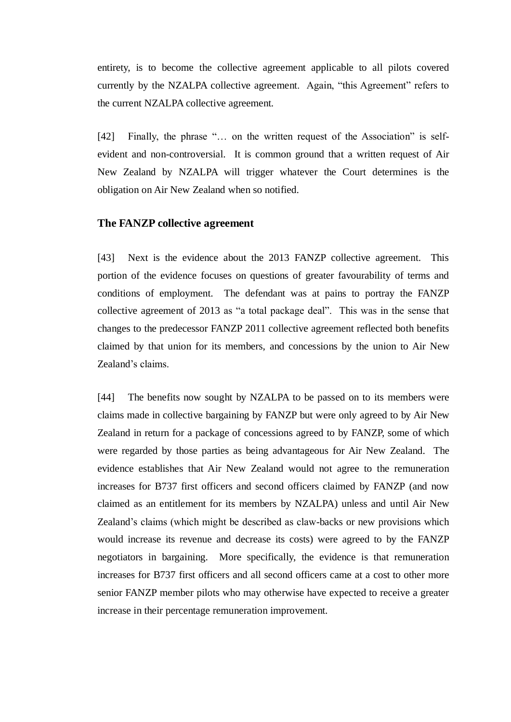entirety, is to become the collective agreement applicable to all pilots covered currently by the NZALPA collective agreement. Again, "this Agreement" refers to the current NZALPA collective agreement.

[42] Finally, the phrase "... on the written request of the Association" is selfevident and non-controversial. It is common ground that a written request of Air New Zealand by NZALPA will trigger whatever the Court determines is the obligation on Air New Zealand when so notified.

#### **The FANZP collective agreement**

[43] Next is the evidence about the 2013 FANZP collective agreement. This portion of the evidence focuses on questions of greater favourability of terms and conditions of employment. The defendant was at pains to portray the FANZP collective agreement of 2013 as "a total package deal". This was in the sense that changes to the predecessor FANZP 2011 collective agreement reflected both benefits claimed by that union for its members, and concessions by the union to Air New Zealand's claims.

[44] The benefits now sought by NZALPA to be passed on to its members were claims made in collective bargaining by FANZP but were only agreed to by Air New Zealand in return for a package of concessions agreed to by FANZP, some of which were regarded by those parties as being advantageous for Air New Zealand. The evidence establishes that Air New Zealand would not agree to the remuneration increases for B737 first officers and second officers claimed by FANZP (and now claimed as an entitlement for its members by NZALPA) unless and until Air New Zealand's claims (which might be described as claw-backs or new provisions which would increase its revenue and decrease its costs) were agreed to by the FANZP negotiators in bargaining. More specifically, the evidence is that remuneration increases for B737 first officers and all second officers came at a cost to other more senior FANZP member pilots who may otherwise have expected to receive a greater increase in their percentage remuneration improvement.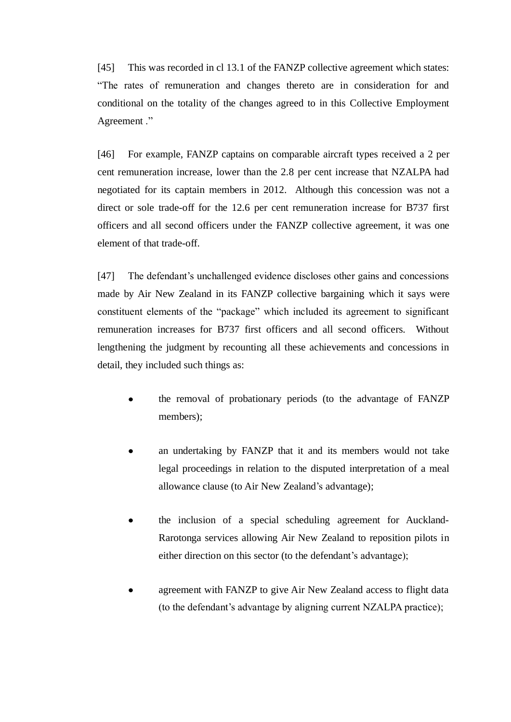[45] This was recorded in cl 13.1 of the FANZP collective agreement which states: "The rates of remuneration and changes thereto are in consideration for and conditional on the totality of the changes agreed to in this Collective Employment Agreement ."

[46] For example, FANZP captains on comparable aircraft types received a 2 per cent remuneration increase, lower than the 2.8 per cent increase that NZALPA had negotiated for its captain members in 2012. Although this concession was not a direct or sole trade-off for the 12.6 per cent remuneration increase for B737 first officers and all second officers under the FANZP collective agreement, it was one element of that trade-off.

[47] The defendant's unchallenged evidence discloses other gains and concessions made by Air New Zealand in its FANZP collective bargaining which it says were constituent elements of the "package" which included its agreement to significant remuneration increases for B737 first officers and all second officers. Without lengthening the judgment by recounting all these achievements and concessions in detail, they included such things as:

- the removal of probationary periods (to the advantage of FANZP members);
- an undertaking by FANZP that it and its members would not take legal proceedings in relation to the disputed interpretation of a meal allowance clause (to Air New Zealand's advantage);
- the inclusion of a special scheduling agreement for Auckland-Rarotonga services allowing Air New Zealand to reposition pilots in either direction on this sector (to the defendant's advantage);
- agreement with FANZP to give Air New Zealand access to flight data (to the defendant's advantage by aligning current NZALPA practice);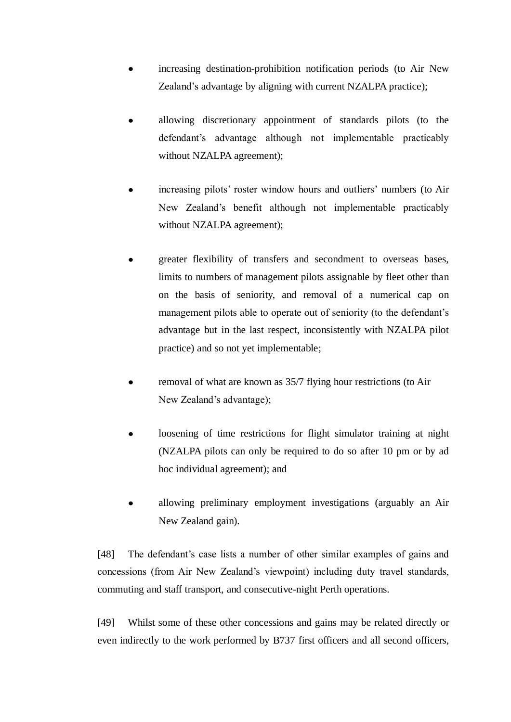- increasing destination-prohibition notification periods (to Air New Zealand's advantage by aligning with current NZALPA practice);
- allowing discretionary appointment of standards pilots (to the defendant's advantage although not implementable practicably without NZALPA agreement);
- $\bullet$ increasing pilots' roster window hours and outliers' numbers (to Air New Zealand's benefit although not implementable practicably without NZALPA agreement);
- greater flexibility of transfers and secondment to overseas bases, limits to numbers of management pilots assignable by fleet other than on the basis of seniority, and removal of a numerical cap on management pilots able to operate out of seniority (to the defendant's advantage but in the last respect, inconsistently with NZALPA pilot practice) and so not yet implementable;
- removal of what are known as 35/7 flying hour restrictions (to Air  $\bullet$ New Zealand's advantage);
- loosening of time restrictions for flight simulator training at night (NZALPA pilots can only be required to do so after 10 pm or by ad hoc individual agreement); and
- allowing preliminary employment investigations (arguably an Air New Zealand gain).

[48] The defendant's case lists a number of other similar examples of gains and concessions (from Air New Zealand's viewpoint) including duty travel standards, commuting and staff transport, and consecutive-night Perth operations.

[49] Whilst some of these other concessions and gains may be related directly or even indirectly to the work performed by B737 first officers and all second officers,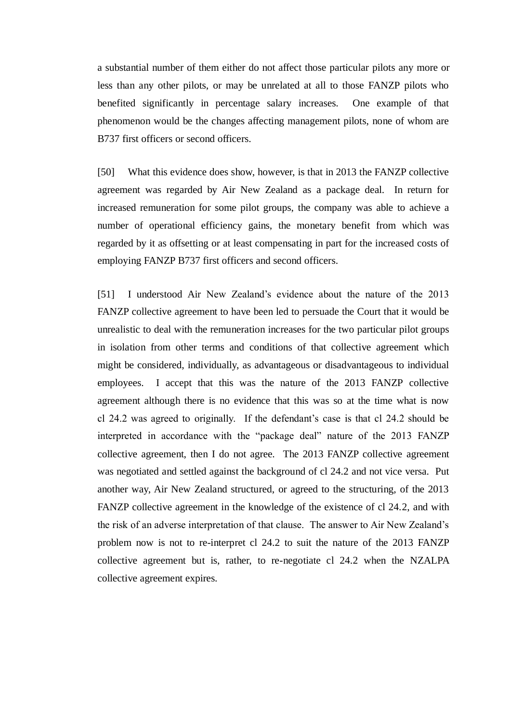a substantial number of them either do not affect those particular pilots any more or less than any other pilots, or may be unrelated at all to those FANZP pilots who benefited significantly in percentage salary increases. One example of that phenomenon would be the changes affecting management pilots, none of whom are B737 first officers or second officers.

[50] What this evidence does show, however, is that in 2013 the FANZP collective agreement was regarded by Air New Zealand as a package deal. In return for increased remuneration for some pilot groups, the company was able to achieve a number of operational efficiency gains, the monetary benefit from which was regarded by it as offsetting or at least compensating in part for the increased costs of employing FANZP B737 first officers and second officers.

[51] I understood Air New Zealand's evidence about the nature of the 2013 FANZP collective agreement to have been led to persuade the Court that it would be unrealistic to deal with the remuneration increases for the two particular pilot groups in isolation from other terms and conditions of that collective agreement which might be considered, individually, as advantageous or disadvantageous to individual employees. I accept that this was the nature of the 2013 FANZP collective agreement although there is no evidence that this was so at the time what is now cl 24.2 was agreed to originally. If the defendant's case is that cl 24.2 should be interpreted in accordance with the "package deal" nature of the 2013 FANZP collective agreement, then I do not agree. The 2013 FANZP collective agreement was negotiated and settled against the background of cl 24.2 and not vice versa. Put another way, Air New Zealand structured, or agreed to the structuring, of the 2013 FANZP collective agreement in the knowledge of the existence of cl 24.2, and with the risk of an adverse interpretation of that clause. The answer to Air New Zealand's problem now is not to re-interpret cl 24.2 to suit the nature of the 2013 FANZP collective agreement but is, rather, to re-negotiate cl 24.2 when the NZALPA collective agreement expires.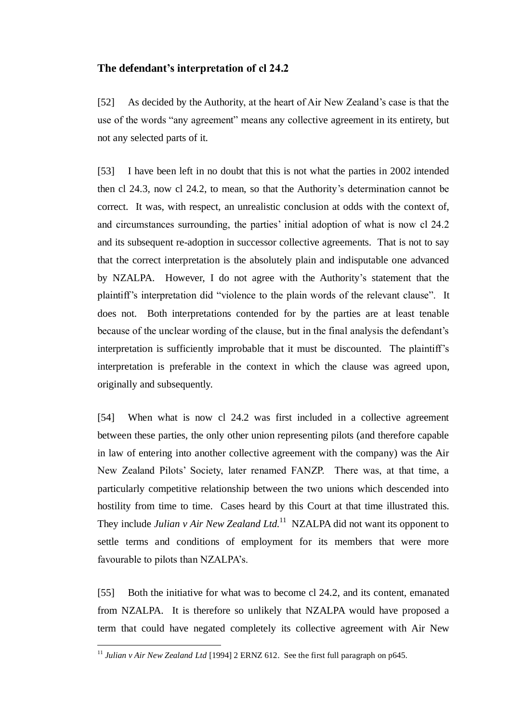## **The defendant's interpretation of cl 24.2**

[52] As decided by the Authority, at the heart of Air New Zealand's case is that the use of the words "any agreement" means any collective agreement in its entirety, but not any selected parts of it.

[53] I have been left in no doubt that this is not what the parties in 2002 intended then cl 24.3, now cl 24.2, to mean, so that the Authority's determination cannot be correct. It was, with respect, an unrealistic conclusion at odds with the context of, and circumstances surrounding, the parties' initial adoption of what is now cl 24.2 and its subsequent re-adoption in successor collective agreements. That is not to say that the correct interpretation is the absolutely plain and indisputable one advanced by NZALPA. However, I do not agree with the Authority's statement that the plaintiff's interpretation did "violence to the plain words of the relevant clause". It does not. Both interpretations contended for by the parties are at least tenable because of the unclear wording of the clause, but in the final analysis the defendant's interpretation is sufficiently improbable that it must be discounted. The plaintiff's interpretation is preferable in the context in which the clause was agreed upon, originally and subsequently.

[54] When what is now cl 24.2 was first included in a collective agreement between these parties, the only other union representing pilots (and therefore capable in law of entering into another collective agreement with the company) was the Air New Zealand Pilots' Society, later renamed FANZP. There was, at that time, a particularly competitive relationship between the two unions which descended into hostility from time to time. Cases heard by this Court at that time illustrated this. They include *Julian v Air New Zealand Ltd*.<sup>11</sup> NZALPA did not want its opponent to settle terms and conditions of employment for its members that were more favourable to pilots than NZALPA's.

[55] Both the initiative for what was to become cl 24.2, and its content, emanated from NZALPA. It is therefore so unlikely that NZALPA would have proposed a term that could have negated completely its collective agreement with Air New

1

<sup>&</sup>lt;sup>11</sup> Julian v Air New Zealand Ltd [1994] 2 ERNZ 612. See the first full paragraph on p645.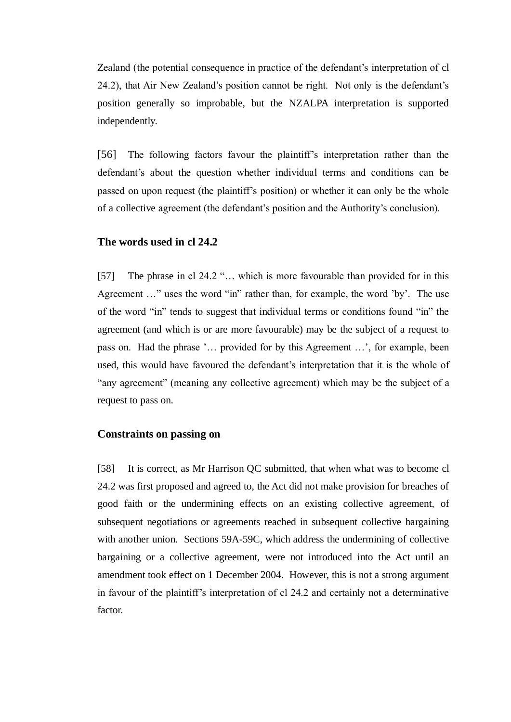Zealand (the potential consequence in practice of the defendant's interpretation of cl 24.2), that Air New Zealand's position cannot be right. Not only is the defendant's position generally so improbable, but the NZALPA interpretation is supported independently.

[56] The following factors favour the plaintiff's interpretation rather than the defendant's about the question whether individual terms and conditions can be passed on upon request (the plaintiff's position) or whether it can only be the whole of a collective agreement (the defendant's position and the Authority's conclusion).

# **The words used in cl 24.2**

[57] The phrase in cl 24.2 "... which is more favourable than provided for in this Agreement …" uses the word "in" rather than, for example, the word 'by'. The use of the word "in" tends to suggest that individual terms or conditions found "in" the agreement (and which is or are more favourable) may be the subject of a request to pass on. Had the phrase '… provided for by this Agreement …', for example, been used, this would have favoured the defendant's interpretation that it is the whole of "any agreement" (meaning any collective agreement) which may be the subject of a request to pass on.

#### **Constraints on passing on**

[58] It is correct, as Mr Harrison QC submitted, that when what was to become cl 24.2 was first proposed and agreed to, the Act did not make provision for breaches of good faith or the undermining effects on an existing collective agreement, of subsequent negotiations or agreements reached in subsequent collective bargaining with another union. Sections 59A-59C, which address the undermining of collective bargaining or a collective agreement, were not introduced into the Act until an amendment took effect on 1 December 2004. However, this is not a strong argument in favour of the plaintiff's interpretation of cl 24.2 and certainly not a determinative factor.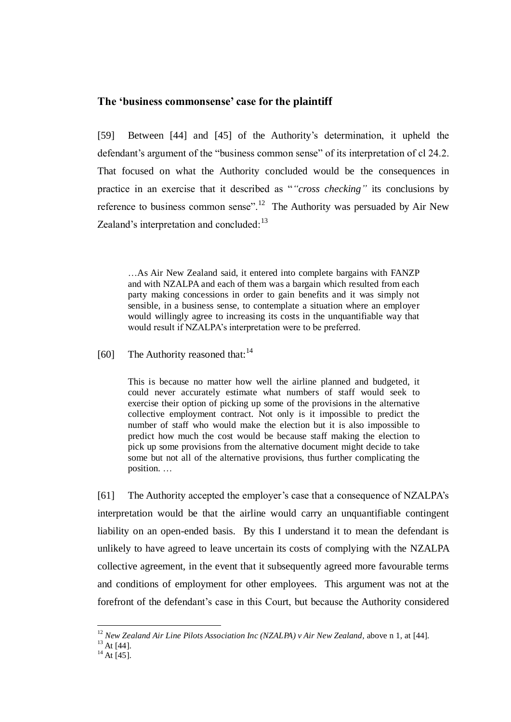#### **The 'business commonsense' case for the plaintiff**

[59] Between [44] and [45] of the Authority's determination, it upheld the defendant's argument of the "business common sense" of its interpretation of cl 24.2. That focused on what the Authority concluded would be the consequences in practice in an exercise that it described as "*"cross checking"* its conclusions by reference to business common sense".<sup>12</sup> The Authority was persuaded by Air New Zealand's interpretation and concluded:<sup>13</sup>

…As Air New Zealand said, it entered into complete bargains with FANZP and with NZALPA and each of them was a bargain which resulted from each party making concessions in order to gain benefits and it was simply not sensible, in a business sense, to contemplate a situation where an employer would willingly agree to increasing its costs in the unquantifiable way that would result if NZALPA's interpretation were to be preferred.

[60] The Authority reasoned that: $^{14}$ 

This is because no matter how well the airline planned and budgeted, it could never accurately estimate what numbers of staff would seek to exercise their option of picking up some of the provisions in the alternative collective employment contract. Not only is it impossible to predict the number of staff who would make the election but it is also impossible to predict how much the cost would be because staff making the election to pick up some provisions from the alternative document might decide to take some but not all of the alternative provisions, thus further complicating the position. …

[61] The Authority accepted the employer's case that a consequence of NZALPA's interpretation would be that the airline would carry an unquantifiable contingent liability on an open-ended basis. By this I understand it to mean the defendant is unlikely to have agreed to leave uncertain its costs of complying with the NZALPA collective agreement, in the event that it subsequently agreed more favourable terms and conditions of employment for other employees. This argument was not at the forefront of the defendant's case in this Court, but because the Authority considered

<sup>12</sup> *New Zealand Air Line Pilots Association Inc (NZALPA) v Air New Zealand,* above n 1, at [44].

 $^{13}$  At [44].

 $^{14}$  At [45].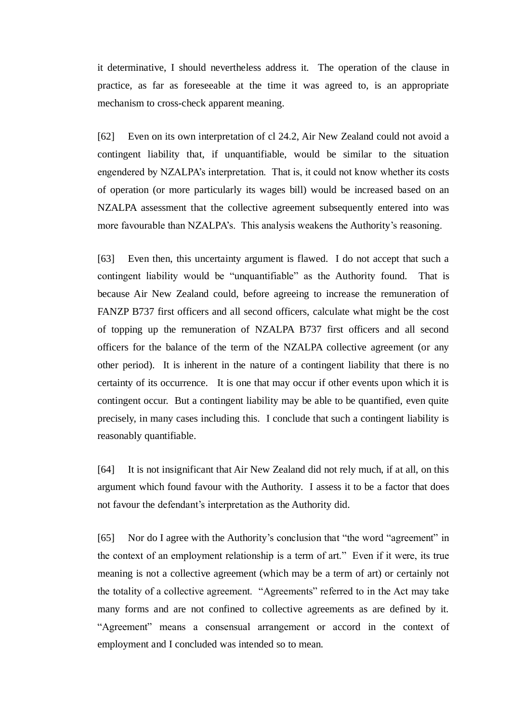it determinative, I should nevertheless address it. The operation of the clause in practice, as far as foreseeable at the time it was agreed to, is an appropriate mechanism to cross-check apparent meaning.

[62] Even on its own interpretation of cl 24.2, Air New Zealand could not avoid a contingent liability that, if unquantifiable, would be similar to the situation engendered by NZALPA's interpretation. That is, it could not know whether its costs of operation (or more particularly its wages bill) would be increased based on an NZALPA assessment that the collective agreement subsequently entered into was more favourable than NZALPA's. This analysis weakens the Authority's reasoning.

[63] Even then, this uncertainty argument is flawed. I do not accept that such a contingent liability would be "unquantifiable" as the Authority found. That is because Air New Zealand could, before agreeing to increase the remuneration of FANZP B737 first officers and all second officers, calculate what might be the cost of topping up the remuneration of NZALPA B737 first officers and all second officers for the balance of the term of the NZALPA collective agreement (or any other period). It is inherent in the nature of a contingent liability that there is no certainty of its occurrence. It is one that may occur if other events upon which it is contingent occur. But a contingent liability may be able to be quantified, even quite precisely, in many cases including this. I conclude that such a contingent liability is reasonably quantifiable.

[64] It is not insignificant that Air New Zealand did not rely much, if at all, on this argument which found favour with the Authority. I assess it to be a factor that does not favour the defendant's interpretation as the Authority did.

[65] Nor do I agree with the Authority's conclusion that "the word "agreement" in the context of an employment relationship is a term of art." Even if it were, its true meaning is not a collective agreement (which may be a term of art) or certainly not the totality of a collective agreement. "Agreements" referred to in the Act may take many forms and are not confined to collective agreements as are defined by it. "Agreement" means a consensual arrangement or accord in the context of employment and I concluded was intended so to mean.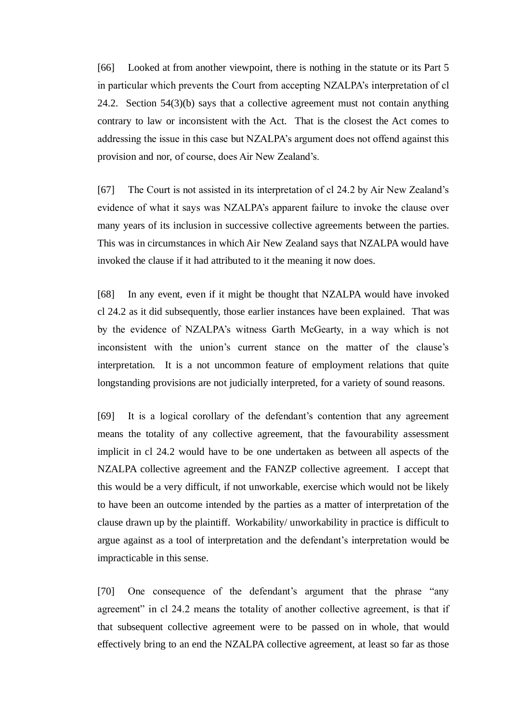[66] Looked at from another viewpoint, there is nothing in the statute or its Part 5 in particular which prevents the Court from accepting NZALPA's interpretation of cl 24.2. Section 54(3)(b) says that a collective agreement must not contain anything contrary to law or inconsistent with the Act. That is the closest the Act comes to addressing the issue in this case but NZALPA's argument does not offend against this provision and nor, of course, does Air New Zealand's.

[67] The Court is not assisted in its interpretation of cl 24.2 by Air New Zealand's evidence of what it says was NZALPA's apparent failure to invoke the clause over many years of its inclusion in successive collective agreements between the parties. This was in circumstances in which Air New Zealand says that NZALPA would have invoked the clause if it had attributed to it the meaning it now does.

[68] In any event, even if it might be thought that NZALPA would have invoked cl 24.2 as it did subsequently, those earlier instances have been explained. That was by the evidence of NZALPA's witness Garth McGearty, in a way which is not inconsistent with the union's current stance on the matter of the clause's interpretation. It is a not uncommon feature of employment relations that quite longstanding provisions are not judicially interpreted, for a variety of sound reasons.

[69] It is a logical corollary of the defendant's contention that any agreement means the totality of any collective agreement, that the favourability assessment implicit in cl 24.2 would have to be one undertaken as between all aspects of the NZALPA collective agreement and the FANZP collective agreement. I accept that this would be a very difficult, if not unworkable, exercise which would not be likely to have been an outcome intended by the parties as a matter of interpretation of the clause drawn up by the plaintiff. Workability/ unworkability in practice is difficult to argue against as a tool of interpretation and the defendant's interpretation would be impracticable in this sense.

[70] One consequence of the defendant's argument that the phrase "any agreement" in cl 24.2 means the totality of another collective agreement, is that if that subsequent collective agreement were to be passed on in whole, that would effectively bring to an end the NZALPA collective agreement, at least so far as those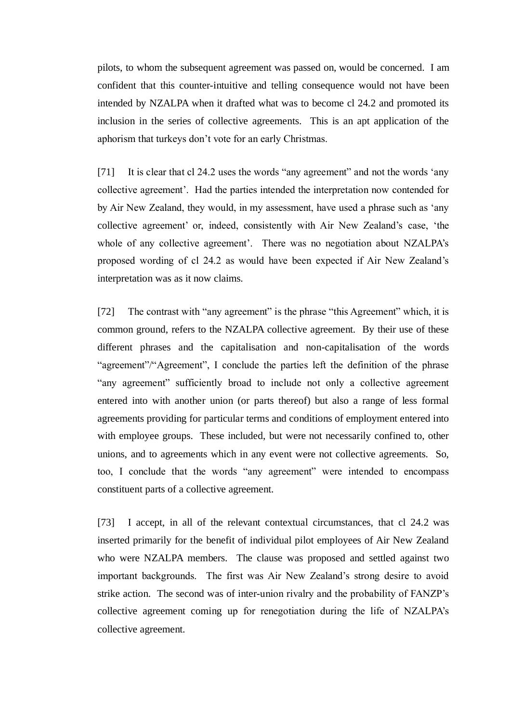pilots, to whom the subsequent agreement was passed on, would be concerned. I am confident that this counter-intuitive and telling consequence would not have been intended by NZALPA when it drafted what was to become cl 24.2 and promoted its inclusion in the series of collective agreements. This is an apt application of the aphorism that turkeys don't vote for an early Christmas.

[71] It is clear that cl 24.2 uses the words "any agreement" and not the words 'any collective agreement'. Had the parties intended the interpretation now contended for by Air New Zealand, they would, in my assessment, have used a phrase such as 'any collective agreement' or, indeed, consistently with Air New Zealand's case, 'the whole of any collective agreement'. There was no negotiation about NZALPA's proposed wording of cl 24.2 as would have been expected if Air New Zealand's interpretation was as it now claims.

[72] The contrast with "any agreement" is the phrase "this Agreement" which, it is common ground, refers to the NZALPA collective agreement. By their use of these different phrases and the capitalisation and non-capitalisation of the words "agreement"/"Agreement", I conclude the parties left the definition of the phrase "any agreement" sufficiently broad to include not only a collective agreement entered into with another union (or parts thereof) but also a range of less formal agreements providing for particular terms and conditions of employment entered into with employee groups. These included, but were not necessarily confined to, other unions, and to agreements which in any event were not collective agreements. So, too, I conclude that the words "any agreement" were intended to encompass constituent parts of a collective agreement.

[73] I accept, in all of the relevant contextual circumstances, that cl 24.2 was inserted primarily for the benefit of individual pilot employees of Air New Zealand who were NZALPA members. The clause was proposed and settled against two important backgrounds. The first was Air New Zealand's strong desire to avoid strike action. The second was of inter-union rivalry and the probability of FANZP's collective agreement coming up for renegotiation during the life of NZALPA's collective agreement.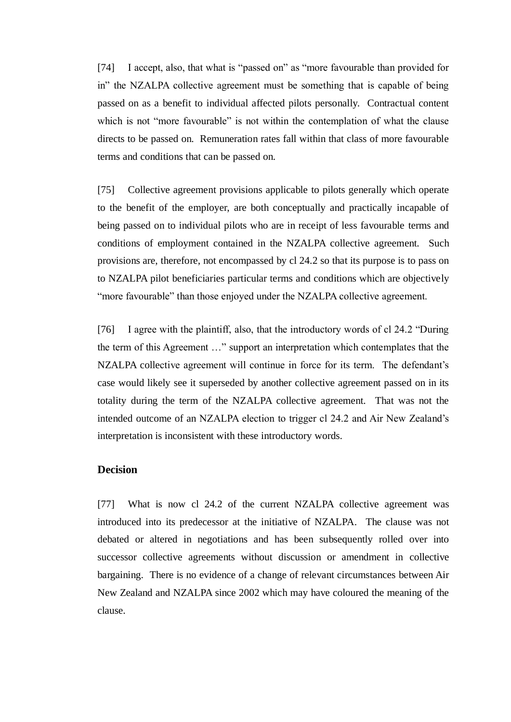[74] I accept, also, that what is "passed on" as "more favourable than provided for in" the NZALPA collective agreement must be something that is capable of being passed on as a benefit to individual affected pilots personally. Contractual content which is not "more favourable" is not within the contemplation of what the clause directs to be passed on. Remuneration rates fall within that class of more favourable terms and conditions that can be passed on.

[75] Collective agreement provisions applicable to pilots generally which operate to the benefit of the employer, are both conceptually and practically incapable of being passed on to individual pilots who are in receipt of less favourable terms and conditions of employment contained in the NZALPA collective agreement. Such provisions are, therefore, not encompassed by cl 24.2 so that its purpose is to pass on to NZALPA pilot beneficiaries particular terms and conditions which are objectively "more favourable" than those enjoyed under the NZALPA collective agreement.

[76] I agree with the plaintiff, also, that the introductory words of cl 24.2 "During the term of this Agreement …" support an interpretation which contemplates that the NZALPA collective agreement will continue in force for its term. The defendant's case would likely see it superseded by another collective agreement passed on in its totality during the term of the NZALPA collective agreement. That was not the intended outcome of an NZALPA election to trigger cl 24.2 and Air New Zealand's interpretation is inconsistent with these introductory words.

### **Decision**

[77] What is now cl 24.2 of the current NZALPA collective agreement was introduced into its predecessor at the initiative of NZALPA. The clause was not debated or altered in negotiations and has been subsequently rolled over into successor collective agreements without discussion or amendment in collective bargaining. There is no evidence of a change of relevant circumstances between Air New Zealand and NZALPA since 2002 which may have coloured the meaning of the clause.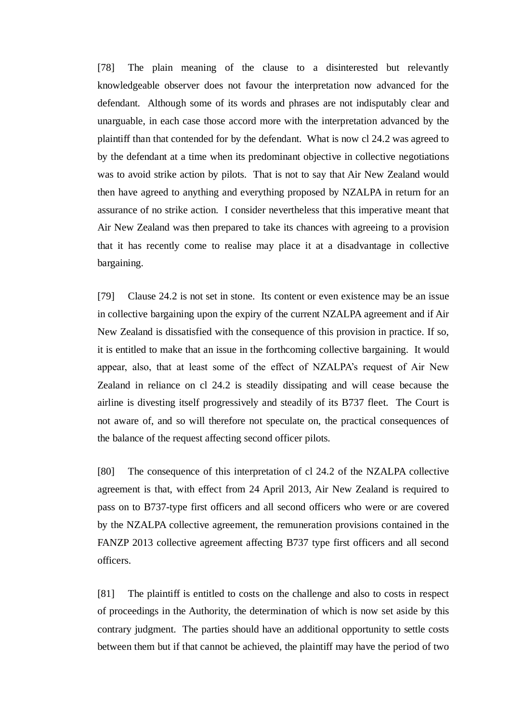[78] The plain meaning of the clause to a disinterested but relevantly knowledgeable observer does not favour the interpretation now advanced for the defendant. Although some of its words and phrases are not indisputably clear and unarguable, in each case those accord more with the interpretation advanced by the plaintiff than that contended for by the defendant. What is now cl 24.2 was agreed to by the defendant at a time when its predominant objective in collective negotiations was to avoid strike action by pilots. That is not to say that Air New Zealand would then have agreed to anything and everything proposed by NZALPA in return for an assurance of no strike action. I consider nevertheless that this imperative meant that Air New Zealand was then prepared to take its chances with agreeing to a provision that it has recently come to realise may place it at a disadvantage in collective bargaining.

[79] Clause 24.2 is not set in stone. Its content or even existence may be an issue in collective bargaining upon the expiry of the current NZALPA agreement and if Air New Zealand is dissatisfied with the consequence of this provision in practice. If so, it is entitled to make that an issue in the forthcoming collective bargaining. It would appear, also, that at least some of the effect of NZALPA's request of Air New Zealand in reliance on cl 24.2 is steadily dissipating and will cease because the airline is divesting itself progressively and steadily of its B737 fleet. The Court is not aware of, and so will therefore not speculate on, the practical consequences of the balance of the request affecting second officer pilots.

[80] The consequence of this interpretation of cl 24.2 of the NZALPA collective agreement is that, with effect from 24 April 2013, Air New Zealand is required to pass on to B737-type first officers and all second officers who were or are covered by the NZALPA collective agreement, the remuneration provisions contained in the FANZP 2013 collective agreement affecting B737 type first officers and all second officers.

[81] The plaintiff is entitled to costs on the challenge and also to costs in respect of proceedings in the Authority, the determination of which is now set aside by this contrary judgment. The parties should have an additional opportunity to settle costs between them but if that cannot be achieved, the plaintiff may have the period of two